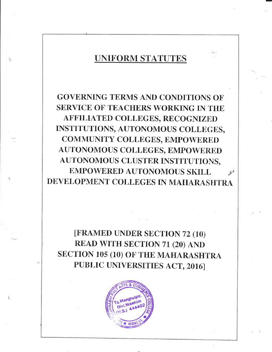# UNIFORM STATUTES

GOVERNING TERMS AND CONDITIONS OF SERVICE OF TEACHERS WORKING IN THE AFFILIATED COLLEGES, RECOGNIZED INSTITUTIONS, AUTONOMOUS COLLEGES, COMMUNITY COLLEGES, EMPOWERED AUTONOMOUS COLLEGES, EMPOWERED AUTONOMOUS CLUSTER INSTITUTIONS, EMPOWERED AUTONOMOUS SKILL  $\bullet$ DEVELOPMENT COLLEGES IN MAHARASHTRA

[FRAMED UNDER SECTION 72 (10) READ WITH SECTION 71 (20) AND SECTION 10s (10) oF THE MAHARASHTRA PUBLIC UNIVERSITIES ACT, 2016]

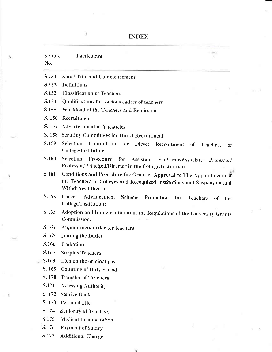ä.

 $\Delta$ 

Â,

Š.

| <b>Statute</b><br>No. | - 140<br>Particulars                                                                                                                                                   |
|-----------------------|------------------------------------------------------------------------------------------------------------------------------------------------------------------------|
| S.151                 | <b>Short Title and Commencement</b>                                                                                                                                    |
| S.152                 | <b>Definitions</b>                                                                                                                                                     |
| S.153                 | <b>Classification of Teachers</b>                                                                                                                                      |
| S.154                 | Qualifications for various cadres of teachers                                                                                                                          |
| S.155                 | Workload of the Teachers and Remission                                                                                                                                 |
| S. 156                | Recruitment                                                                                                                                                            |
| S. 157                | <b>Advertisement of Vacancies</b>                                                                                                                                      |
|                       | S. 158 Scrutiny Committees for Direct Recruitment                                                                                                                      |
| S.159                 | Selection Committees for Direct Recruitment<br><sub>of</sub><br><b>Teachers</b><br>of<br><b>College/Institution</b>                                                    |
| S.160                 | <b>Selection</b><br>Procedure<br>for<br>Assistant Professor/Associate Professor/<br>Professor/Principal/Director in the College/Institution                            |
| S.161                 | Conditions and Procedure for Grant of Approval to The Appointments of<br>the Teachers in Colleges and Recognized Institutions and Suspension and<br>Withdrawal thereof |
| S.162                 | Career<br><b>Advancement</b> Scheme<br>Promotion<br>for<br><b>Teachers</b><br>of<br>the<br>College/Institution:                                                        |
| S.163                 | Adoption and Implementation of the Regulations of the University Grants<br>Commission:                                                                                 |
| S.164                 | Appointment order for teachers                                                                                                                                         |
| S.165                 | Joining the Duties                                                                                                                                                     |
| S.166                 | Probation                                                                                                                                                              |
| S.167                 | <b>Surplus Teachers</b>                                                                                                                                                |
| S.168                 | Lien on the original post                                                                                                                                              |
| S. 169                | <b>Counting of Duty Period</b>                                                                                                                                         |
| S. 170                | <b>Transfer of Teachers</b>                                                                                                                                            |
| S.171                 | <b>Assessing Authority</b>                                                                                                                                             |
| S. 172                | <b>Service Book</b>                                                                                                                                                    |
| S. 173                | <b>Personal File</b>                                                                                                                                                   |
| S.174                 | <b>Seniority of Teachers</b>                                                                                                                                           |
| S.175                 | <b>Medical Incapacitation</b>                                                                                                                                          |
| S.176                 | <b>Payment of Salary</b>                                                                                                                                               |
| S.177                 | <b>Additional Charge</b>                                                                                                                                               |

 $\overline{ }$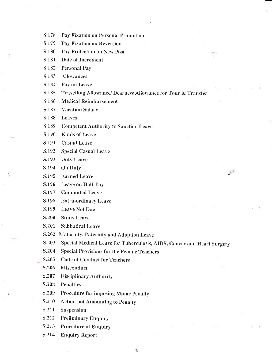- Pay Fixation on Personal Promotion S.178
- S.179 Pay Fixation on Reversion
- S.180 Pay Protection on New Post
- S.181 Date of Increment
- S.182 **Personal Pay**

X

۹

- S.183 Allowances
- S.184 Pay on Leave
- S.185 Travelling Allowance/ Dearness Allowance for Tour & Transfer
- S.186 **Medical Reimbursement**
- S.187 **Vacation Salary**
- S.188 Leaves
- S.189 **Competent Authority to Sanction Leave**
- S.190 **Kinds of Leave**
- S.191 **Casual Leave**
- S.192 **Special Casual Leave**
- S.193 **Duty Leave**
- S.194 **On Duty**
- S.195 **Earned Leave**
- S.196 Leave on Half-Pay
- S.197 **Commuted Leave**
- S.198 **Extra-ordinary Leave**
- S.199 **Leave Not Due**
- S.200 **Study Leave**
- S.201 **Sabbatical Leave**
- S.202 Maternity, Paternity and Adoption Leave
- S.203 Special Medical Leave for Tuberculosis, AIDS, Cancer and Heart Surgery

 $\hat{R}^{\hat{A}}$ 

- S.204 **Special Provisions for the Female Teachers**
- S.205 **Code of Conduct for Teachers**
- S.206 Misconduct
- S.207 **Disciplinary Authority**
- S.208 **Penalties**
- S.209 **Procedure for imposing Minor Penalty**
- S.210 **Action not Amounting to Penalty**
- S.211 **Suspension**
- S.212 **Preliminary Enquiry**
- $S.213$ **Procedure of Enquiry**
- S.214 **Enquiry Report**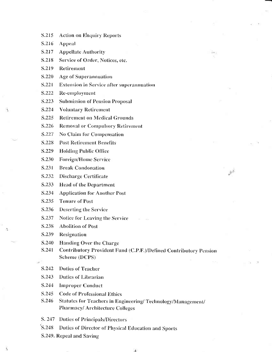- S.215 **Action on Enquiry Reports**
- S.216 **Appeal**

Ä.

×

S.217 **Appellate Authority** 

S.218 Service of Order, Notices, etc.

- S.219 Retirement
- S.220 Age of Superannuation
- S.221 **Extension in Service after superannuation**
- S.222 Re-employment
- S.223 **Submission of Pension Proposal**
- S.224 **Voluntary Retirement**
- S.225 **Retirement on Medical Grounds**
- S.226 **Removal or Compulsory Retirement**
- S.227 **No Claim for Compensation**
- S.228 **Post Retirement Benefits**
- S.229 **Holding Public Office**
- S.230 **Foreign/Home Service**
- S.231 **Break Condonation**
- S.232 Discharge Certificate
- S.233 **Head of the Department**
- S.234 **Application for Another Post**
- S.235 **Tenure of Post**
- S.236 **Deserting the Service**
- S.237 Notice for Leaving the Service
- S.238 **Abolition of Post**
- S.239 Resignation
- S.240 **Handing Over the Charge**
- Contributory Provident Fund (C.P.F.)/Defined Contributory Pension S.241 Scheme (DCPS)

 $\mathcal{D}^{\mathcal{A}}$ 

- S.242 **Duties of Teacher**
- S.243 Duties of Librarian
- S.244 **Improper Conduct**
- S.245 **Code of Professional Ethics**
- S.246 Statutes for Teachers in Engineering/ Technology/Management/ **Pharmacy/Architecture Colleges**
- S. 247 Duties of Principals/Directors
- S.248 Duties of Director of Physical Education and Sports
- S.249. Repeal and Saving

 $\Lambda$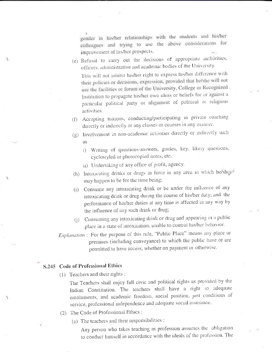gender in his/her relationships with the students and his/her colleagues and trying to use the above considerations for improvement of his/her prospects.

- (e) Refusal to carry out the decisions of appropriate authorities, officers, administrative and academic bodies of the University. This will not inhibit his/her right to express his/her difference with their policies or decisions, expression, provided that he/she will not use the facilities or forum of the University, College or Recognized. Institution to propagate his/her own ideas or beliefs for or against a particular political party or alignment of political or religious activities.
- (f) Accepting tuitions, conducting/participating in private coaching directly or indirectly or any classes or courses in any manner.
- (g) Involvement in non-academic activities directly or indirectly such as
	- i) Writing of questions-answers, guides, key, likely questions, cyclostyled or photocopied notes, etc.
	- ii) Undertaking of any office of profit, agency.
- (h) Intoxicating drinks or drugs in force in any area in which he/she $\epsilon$ may happen to be for the time being;
- (i) Consume any intoxicating drink or be under the influence of any intoxicating drink or drug during the course of his/her duty; and the performance of his/her duties at any time is affected in any way by the influence of any such drink or drug;
- (j) Consuming any intoxicating drink or drug and appearing in a public place in a state of intoxication, unable to control his/her behavior.
- Explanation: For the purpose of this rule, "Public Place" means any place or premises (including conveyance) to which the public have or are permitted to have access, whether on payment or otherwise.

#### S.245 Code of Professional Ethics

4. . .

×.

(1) Teachers and their rights :

The Teachers shall enjoy full civic and political rights as provided by the Indian Constitution. The teachers shall have a right to adequate emoluments, and academic freedom, social position, just conditions of service, professional independence and adequate social insurance.

- (2) The Code of Professional Ethics :
	- (a) The teachers and their responsibilities :

Any person who takes teaching as profession assumes the obligation to conduct himself in accordance with the ideals of the profession. The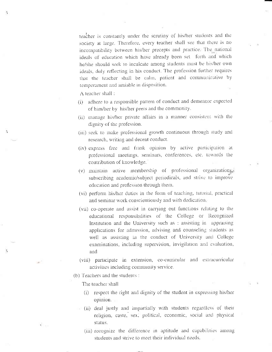teacher is constantly under the scrutiny of his/her students and the society at large. Therefore, every teacher shall see that there is no incompatibility between his/her precepts and practice. The national ideals of education which have already been set forth and which he/she should seek to inculcate among students must be his/her own ideals, duly reflecting in his conduct. The profession further requires that the teacher shall be calm, patient and communicative by temperament and amiable in disposition.

A teacher shall:

- (i) adhere to a responsible pattern of conduct and demeanor expected of him/her by his/her peers and the community.
- (ii) manage his/her private affairs in a manner consistent with the dignity of the profession.
- (iii) seek to make professional growth continuous through study and research, writing and decent conduct.
- (iv) express free and frank opinion by active participation at professional meetings, seminars, conferences, etc. towards the contribution of knowledge.
- (v) maintain active membership of professional organizations, subscribing academic/subject periodicals, and strive to improve education and profession through them.
- (vi) perform his/her duties in the form of teaching, tutorial, practical and seminar work conscientiously and with dedication.
- (vii) co-operate and assist in carrying out functions relating to the educational responsibilities of the College or Recognized Institution and the University such as : assisting in appraising applications for admission, advising and counseling students as well as assisting in the conduct of University and College examinations, including supervision, invigilation and evaluation, and
- (viii) participate in extension, co-curricular and extracurricular activities including community service.
- (b) Teachers and the students :

The teacher shall

O,

- (i) respect the right and dignity of the student in expressing his/her opinion.
- (ii) deal justly and impartially with students regardless of their religion, caste, sex, political, economic, social and physical status.
	- (iii) recognize the difference in aptitude and capabilities among students and strive to meet their individual needs.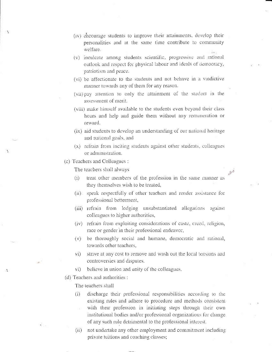- (iv) encourage students to improve their attainments, develop their personalities and at the same time contribute to community welfare.
- (v) inculcate among students scientific, progressive and rational outlook and respect for physical labour and ideals of democracy, patriotism and peace.
- (vi) be affectionate to the students and not behave in a vindictive manner towards any of them for any reason.
- (vii) pay attention to only the attainment of the student in the assessment of merit.
- (viii) make himself available to the students even beyond their class hours and help and guide them without any remuneration or reward.
- (ix) aid students to develop an understanding of our national heritage and national goals, and
- (x) refrain from inciting students against other students, colleagues or administration.

(c) Teachers and Colleagues :

ΠŅ

The teachers shall always

treat other members of the profession in the same manner as  $(1)$ they themselves wish to be treated,

合

- (ii) speak respectfully of other teachers and render assistance for professional betterment,
- (iii) refrain from lodging unsubstantiated allegations against colleagues to higher authorities,
- (iv) refrain from exploiting considerations of caste, creed, religion, race or gender in their professional endeavor,
- (v) be thoroughly social and humane, democratic and rational, towards other teachers.
- strive at any cost to remove and wash out the local tensions and  $\mathsf{vi})$ controversies and disputes.
- believe in union and unity of the colleagues.  $\mathsf{vi})$
- (d) Teachers and authorities :

The teachers shall

- discharge their professional responsibilities according to the  $(i)$ existing rules and adhere to procedure and methods consistent with their profession in initiating steps through their own institutional bodies and/or professional organizations for change of any such rule detrimental to the professional interest.
- not undertake any other employment and commitment including  $(ii)$ private tuitions and coaching classes;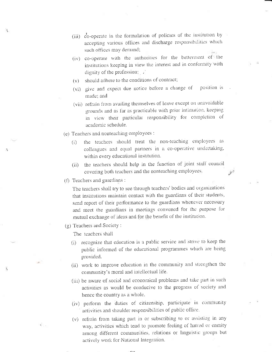- (iii) co-operate in the formulation of policies of the institution by accepting various offices and discharge responsibilities which such offices may demand;
- (iv) co-operate with the authorities for the betterment of the institutions keeping in view the interest and in conformity with dignity of the profession;
- (v) should adhere to the conditions of contract;
- (vi) give and expect due notice before a change of position is made; and
- (vii) refrain from availing themselves of leave except on unavoidable grounds and as far as practicable with prior intimation, keeping in view their particular responsibility for completion of academic schedule.
- (e) Teachers and nonteaching employees :
	- the teachers should treat the non-teaching employees as  $(i)$ colleagues and equal partners in a co-operative undertaking, within every educational institution.
	- (ii) the teachers should help in the function of joint staff council covering both teachers and the nonteaching employees,
- (f) Teachers and guardians:

The teachers shall try to see through teachers' bodies and organizations that institutions maintain contact with the guardians of their students, send report of their performance to the guardians whenever necessary and meet the guardians in meetings convened for the purpose for mutual exchange of ideas and for the benefit of the institution.

(g) Teachers and Society:

The teachers shall

- (i) recognize that education is a public service and strive to keep the public informed of the educational programmes which are being provided.
- (ii) work to improve education in the community and strengthen the community's moral and intellectual life.
- (iii) be aware of social and economical problems and take part in such activities as would be conducive to the progress of society and hence the country as a whole.
- (iv) perform the duties of citizenship, participate in community activities and shoulder responsibilities of public office.
- (v) refrain from taking part in or subscribing to or assisting in any way, activities which tend to promote feeling of hatred or enmity among different communities, relations or linguistic groups but actively work for National Integration.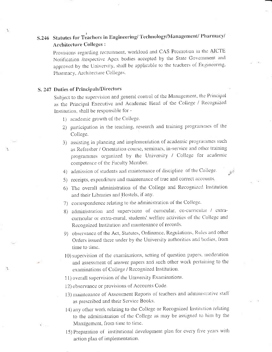## S.246 Statutes for Teachers in Engineering/Technology/Management/Pharmacy/ **Architecture Colleges:**

Provisions regarding recruitment, workload and CAS Promotion in the AICTE Notification /respective Apex bodies accepted by the State Government and approved by the University, shall be applicable to the teachers of Engineering, Pharmacy, Architecture Colleges.

#### S. 247 Duties of Principals/Directors

Subject to the supervision and general control of the Management, the Principal as the Principal Executive and Academic Head of the College / Recognized Institution, shall be responsible for -

- 1) academic growth of the College.
- 2) participation in the teaching, research and training programmes of the College.
- 3) assisting in planning and implementation of academic programmes such as Refresher / Orientation course, seminars, in-service and other training programmes organized by the University / College for academic competence of the Faculty Member
- 4) admission of students and maintenance of discipline of the College.
- 5) receipts, expenditure and maintenance of true and correct accounts.
- 6) The overall administration of the College and Recognized Institution and their Libraries and Hostels, if any.
- 7) correspondence relating to the administration of the College.
- 8) administration and supervision of curricular, co-curricular / extracurricular or extra-mural, students' welfare activities of the College and Recognized Institution and maintenance of records.
- 9) observance of the Act, Statutes, Ordinance, Regulations, Rules and other Orders issued there under by the University authorities and bodies, from time to time.
- 10) supervision of the examinations, setting of question papers, moderation and assessment of answer papers and such other work pertaining to the examinations of College / Recognized Institution.
- 11) overall supervision of the University Examinations.

12) observance or provisions of Accounts Code.

- 13) maintenance of Assessment Reports of teachers and administrative staff as prescribed and their Service Books.
- 14) any other work relating to the College or Recognized Institution relating to the administration of the College as may be assigned to him by the Management, from time to time.
- 15) Preparation of institutional development plan for every five years with action plan of implementation.